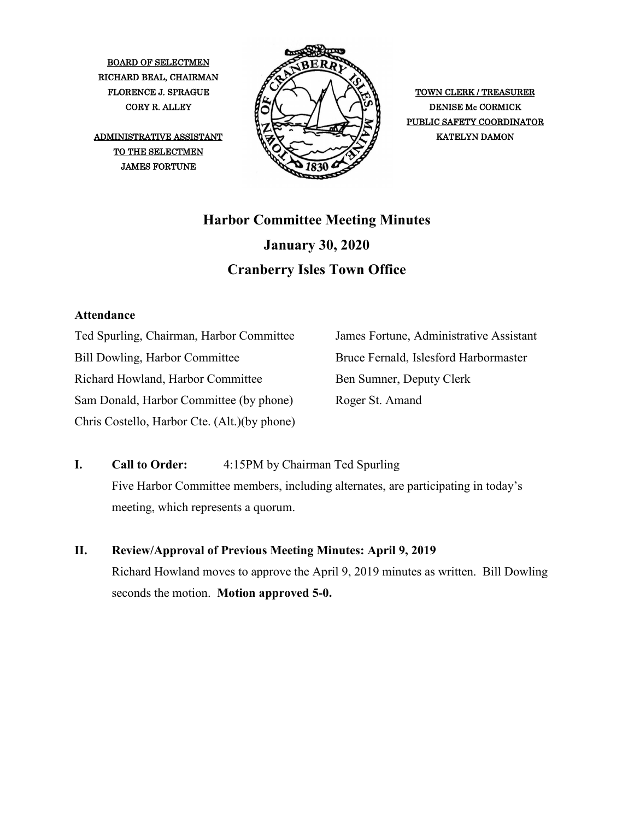BOARD OF SELECTMEN RICHARD BEAL, CHAIRMAN

TO THE SELECTMEN JAMES FORTUNE



PUBLIC SAFETY COORDINATOR

# **Harbor Committee Meeting Minutes January 30, 2020 Cranberry Isles Town Office**

## **Attendance**

Ted Spurling, Chairman, Harbor Committee Bill Dowling, Harbor Committee Richard Howland, Harbor Committee Sam Donald, Harbor Committee (by phone) Chris Costello, Harbor Cte. (Alt.)(by phone) James Fortune, Administrative Assistant Bruce Fernald, Islesford Harbormaster Ben Sumner, Deputy Clerk Roger St. Amand

- **I. Call to Order:** 4:15PM by Chairman Ted Spurling Five Harbor Committee members, including alternates, are participating in today's meeting, which represents a quorum.
- **II. Review/Approval of Previous Meeting Minutes: April 9, 2019** Richard Howland moves to approve the April 9, 2019 minutes as written. Bill Dowling seconds the motion. **Motion approved 5-0.**